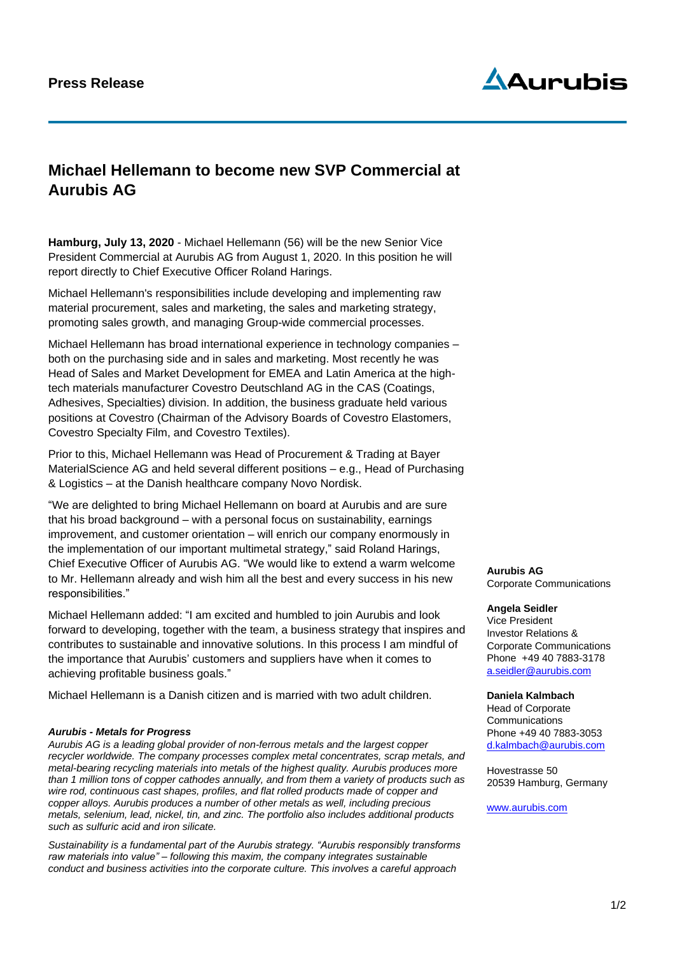

## **Michael Hellemann to become new SVP Commercial at Aurubis AG**

**Hamburg, July 13, 2020** - Michael Hellemann (56) will be the new Senior Vice President Commercial at Aurubis AG from August 1, 2020. In this position he will report directly to Chief Executive Officer Roland Harings.

Michael Hellemann's responsibilities include developing and implementing raw material procurement, sales and marketing, the sales and marketing strategy, promoting sales growth, and managing Group-wide commercial processes.

Michael Hellemann has broad international experience in technology companies – both on the purchasing side and in sales and marketing. Most recently he was Head of Sales and Market Development for EMEA and Latin America at the hightech materials manufacturer Covestro Deutschland AG in the CAS (Coatings, Adhesives, Specialties) division. In addition, the business graduate held various positions at Covestro (Chairman of the Advisory Boards of Covestro Elastomers, Covestro Specialty Film, and Covestro Textiles).

Prior to this, Michael Hellemann was Head of Procurement & Trading at Bayer MaterialScience AG and held several different positions – e.g., Head of Purchasing & Logistics – at the Danish healthcare company Novo Nordisk.

"We are delighted to bring Michael Hellemann on board at Aurubis and are sure that his broad background – with a personal focus on sustainability, earnings improvement, and customer orientation – will enrich our company enormously in the implementation of our important multimetal strategy," said Roland Harings, Chief Executive Officer of Aurubis AG. "We would like to extend a warm welcome to Mr. Hellemann already and wish him all the best and every success in his new responsibilities."

Michael Hellemann added: "I am excited and humbled to join Aurubis and look forward to developing, together with the team, a business strategy that inspires and contributes to sustainable and innovative solutions. In this process I am mindful of the importance that Aurubis' customers and suppliers have when it comes to achieving profitable business goals."

Michael Hellemann is a Danish citizen and is married with two adult children.

## *Aurubis - Metals for Progress*

*Aurubis AG is a leading global provider of non-ferrous metals and the largest copper recycler worldwide. The company processes complex metal concentrates, scrap metals, and metal-bearing recycling materials into metals of the highest quality. Aurubis produces more than 1 million tons of copper cathodes annually, and from them a variety of products such as wire rod, continuous cast shapes, profiles, and flat rolled products made of copper and copper alloys. Aurubis produces a number of other metals as well, including precious metals, selenium, lead, nickel, tin, and zinc. The portfolio also includes additional products such as sulfuric acid and iron silicate.*

*Sustainability is a fundamental part of the Aurubis strategy. "Aurubis responsibly transforms raw materials into value" – following this maxim, the company integrates sustainable conduct and business activities into the corporate culture. This involves a careful approach* 

**Aurubis AG** Corporate Communications

## **Angela Seidler**

Vice President Investor Relations & Corporate Communications Phone +49 40 7883-3178 [a.seidler@aurubis.com](mailto:a.seidler@aurubis.com)

**Daniela Kalmbach** Head of Corporate

**Communications** Phone +49 40 7883-3053 d.kalmbach@aurubis.com

Hovestrasse 50 20539 Hamburg, Germany

[www.aurubis.com](http://www.aurubis.com/)